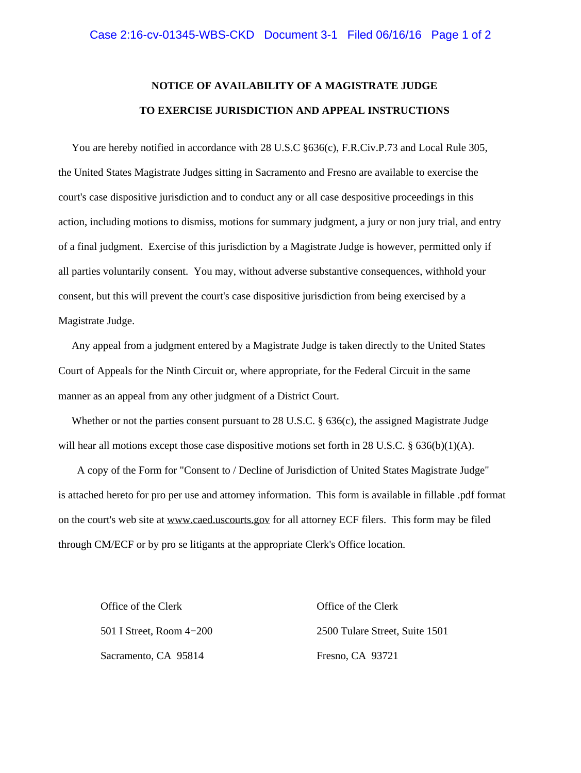# **NOTICE OF AVAILABILITY OF A MAGISTRATE JUDGE TO EXERCISE JURISDICTION AND APPEAL INSTRUCTIONS**

You are hereby notified in accordance with 28 U.S.C §636(c), F.R.Civ.P.73 and Local Rule 305, the United States Magistrate Judges sitting in Sacramento and Fresno are available to exercise the court's case dispositive jurisdiction and to conduct any or all case despositive proceedings in this action, including motions to dismiss, motions for summary judgment, a jury or non jury trial, and entry of a final judgment. Exercise of this jurisdiction by a Magistrate Judge is however, permitted only if all parties voluntarily consent. You may, without adverse substantive consequences, withhold your consent, but this will prevent the court's case dispositive jurisdiction from being exercised by a Magistrate Judge.

 Any appeal from a judgment entered by a Magistrate Judge is taken directly to the United States Court of Appeals for the Ninth Circuit or, where appropriate, for the Federal Circuit in the same manner as an appeal from any other judgment of a District Court.

 Whether or not the parties consent pursuant to 28 U.S.C. § 636(c), the assigned Magistrate Judge will hear all motions except those case dispositive motions set forth in 28 U.S.C. § 636(b)(1)(A).

 A copy of the Form for "Consent to / Decline of Jurisdiction of United States Magistrate Judge" is attached hereto for pro per use and attorney information. This form is available in fillable .pdf format on the court's web site at www.caed.uscourts.gov for all attorney ECF filers. This form may be filed through CM/ECF or by pro se litigants at the appropriate Clerk's Office location.

Office of the Clerk Office of the Clerk Sacramento, CA 95814 Fresno, CA 93721

501 I Street, Room 4−200 2500 Tulare Street, Suite 1501